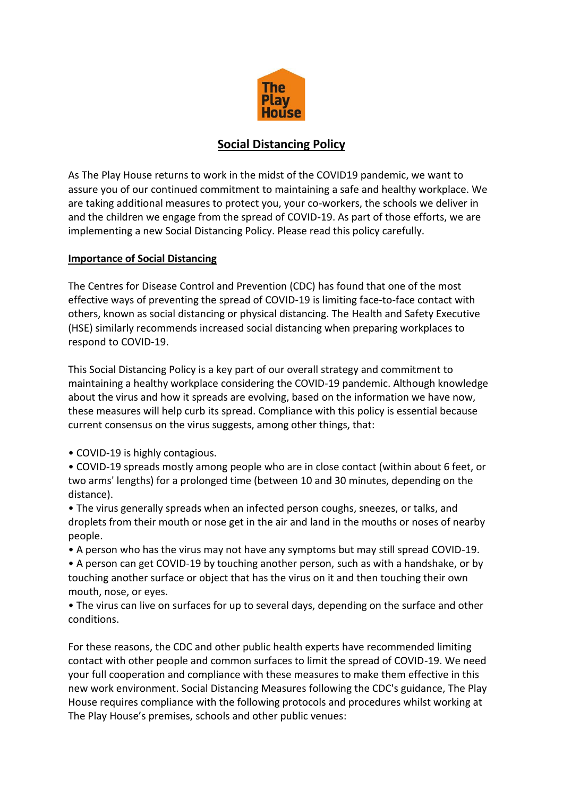

## **Social Distancing Policy**

As The Play House returns to work in the midst of the COVID19 pandemic, we want to assure you of our continued commitment to maintaining a safe and healthy workplace. We are taking additional measures to protect you, your co-workers, the schools we deliver in and the children we engage from the spread of COVID-19. As part of those efforts, we are implementing a new Social Distancing Policy. Please read this policy carefully.

## **Importance of Social Distancing**

The Centres for Disease Control and Prevention (CDC) has found that one of the most effective ways of preventing the spread of COVID-19 is limiting face-to-face contact with others, known as social distancing or physical distancing. The Health and Safety Executive (HSE) similarly recommends increased social distancing when preparing workplaces to respond to COVID-19.

This Social Distancing Policy is a key part of our overall strategy and commitment to maintaining a healthy workplace considering the COVID-19 pandemic. Although knowledge about the virus and how it spreads are evolving, based on the information we have now, these measures will help curb its spread. Compliance with this policy is essential because current consensus on the virus suggests, among other things, that:

• COVID-19 is highly contagious.

• COVID-19 spreads mostly among people who are in close contact (within about 6 feet, or two arms' lengths) for a prolonged time (between 10 and 30 minutes, depending on the distance).

• The virus generally spreads when an infected person coughs, sneezes, or talks, and droplets from their mouth or nose get in the air and land in the mouths or noses of nearby people.

• A person who has the virus may not have any symptoms but may still spread COVID-19.

• A person can get COVID-19 by touching another person, such as with a handshake, or by touching another surface or object that has the virus on it and then touching their own mouth, nose, or eyes.

• The virus can live on surfaces for up to several days, depending on the surface and other conditions.

For these reasons, the CDC and other public health experts have recommended limiting contact with other people and common surfaces to limit the spread of COVID-19. We need your full cooperation and compliance with these measures to make them effective in this new work environment. Social Distancing Measures following the CDC's guidance, The Play House requires compliance with the following protocols and procedures whilst working at The Play House's premises, schools and other public venues: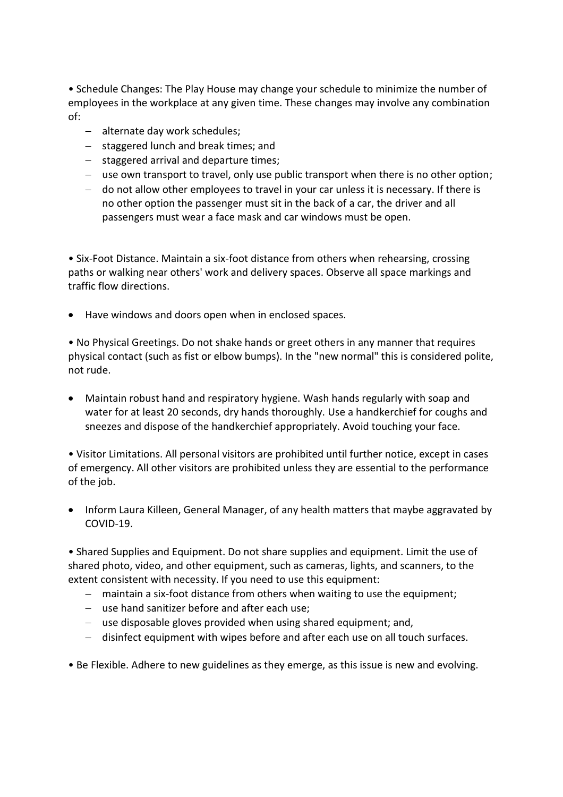• Schedule Changes: The Play House may change your schedule to minimize the number of employees in the workplace at any given time. These changes may involve any combination of:

- − alternate day work schedules;
- − staggered lunch and break times; and
- − staggered arrival and departure times;
- − use own transport to travel, only use public transport when there is no other option;
- − do not allow other employees to travel in your car unless it is necessary. If there is no other option the passenger must sit in the back of a car, the driver and all passengers must wear a face mask and car windows must be open.

• Six-Foot Distance. Maintain a six-foot distance from others when rehearsing, crossing paths or walking near others' work and delivery spaces. Observe all space markings and traffic flow directions.

• Have windows and doors open when in enclosed spaces.

• No Physical Greetings. Do not shake hands or greet others in any manner that requires physical contact (such as fist or elbow bumps). In the "new normal" this is considered polite, not rude.

• Maintain robust hand and respiratory hygiene. Wash hands regularly with soap and water for at least 20 seconds, dry hands thoroughly. Use a handkerchief for coughs and sneezes and dispose of the handkerchief appropriately. Avoid touching your face.

• Visitor Limitations. All personal visitors are prohibited until further notice, except in cases of emergency. All other visitors are prohibited unless they are essential to the performance of the job.

• Inform Laura Killeen, General Manager, of any health matters that maybe aggravated by COVID-19.

• Shared Supplies and Equipment. Do not share supplies and equipment. Limit the use of shared photo, video, and other equipment, such as cameras, lights, and scanners, to the extent consistent with necessity. If you need to use this equipment:

- − maintain a six-foot distance from others when waiting to use the equipment;
- − use hand sanitizer before and after each use;
- − use disposable gloves provided when using shared equipment; and,
- − disinfect equipment with wipes before and after each use on all touch surfaces.
- Be Flexible. Adhere to new guidelines as they emerge, as this issue is new and evolving.